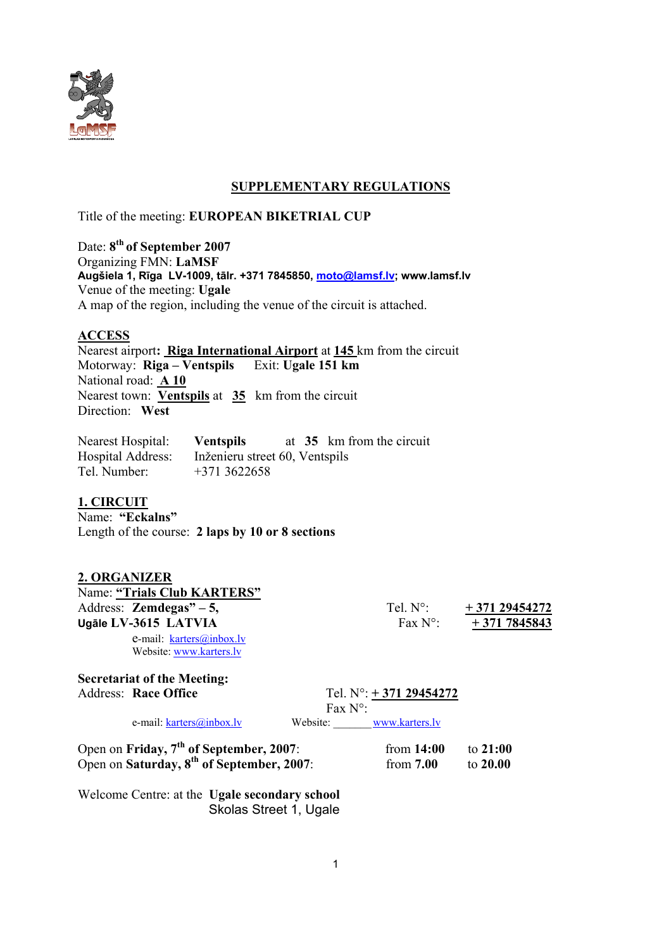

## **SUPPLEMENTARY REGULATIONS**

Title of the meeting: **EUROPEAN BIKETRIAL CUP**

Date: **8th of September 2007**  Organizing FMN: **LaMSF Augšiela 1, Rīga LV-1009, tālr. +371 7845850, moto@lamsf.lv; www.lamsf.lv**  Venue of the meeting: **Ugale**  A map of the region, including the venue of the circuit is attached.

### **ACCESS**

Nearest airport**: Riga International Airport** at **145** km from the circuit Motorway: **Riga – Ventspils** Exit: **Ugale 151 km** National road: **A 10** Nearest town: **Ventspils** at **35** km from the circuit Direction: **West**

Nearest Hospital: **Ventspils** at 35 km from the circuit Hospital Address: Inženieru street 60, Ventspils Tel. Number: +371 3622658

### **1. CIRCUIT**

Name: **"Eckalns"**  Length of the course: **2 laps by 10 or 8 sections** 

#### **2. ORGANIZER**

Name: **"Trials Club KARTERS"** Address: **Zemdegas**" – 5, Tel. N°:  $+371\,29454272$ **Ugāle LV-3615 LATVIA** Fax N°: **+ 371 7845843**

e-mail: karters@inbox.lv Website: www.karters.lv

**Secretariat of the Meeting:** 

Address: **Race Office** Tel. N°: **+ 371 29454272** Fax N°:

e-mail: <u>karters@inbox.lv</u> Website: www.karters.lv

Open on **Friday, 7th of September, 2007**: from **14:00** to **21:00** Open on **Saturday, 8th of September, 2007**: from **7.00** to **20.00**

Welcome Centre: at the **Ugale secondary school**  Skolas Street 1, Ugale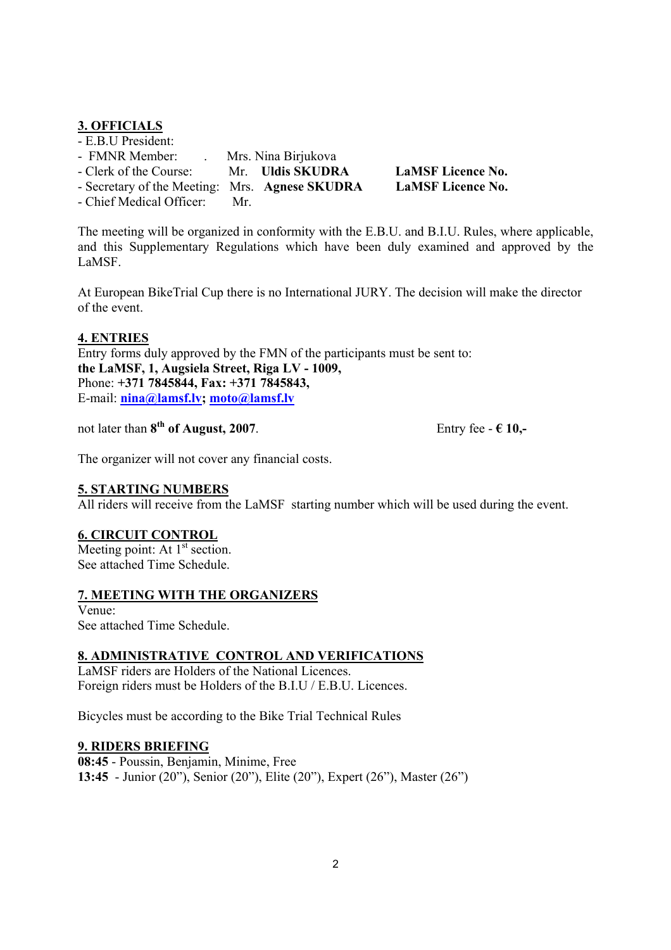# **3. OFFICIALS**

| - E.B.U President:                             |                     |                          |
|------------------------------------------------|---------------------|--------------------------|
| - FMNR Member:                                 | Mrs. Nina Birjukova |                          |
| - Clerk of the Course:                         | Mr. Uldis SKUDRA    | <b>LaMSF</b> Licence No. |
| - Secretary of the Meeting: Mrs. Agnese SKUDRA |                     | <b>LaMSF</b> Licence No. |
|                                                |                     |                          |

- Chief Medical Officer: Mr.

The meeting will be organized in conformity with the E.B.U. and B.I.U. Rules, where applicable, and this Supplementary Regulations which have been duly examined and approved by the LaMSF.

At European BikeTrial Cup there is no International JURY. The decision will make the director of the event.

### **4. ENTRIES**

Entry forms duly approved by the FMN of the participants must be sent to: **the LaMSF, 1, Augsiela Street, Riga LV - 1009,**  Phone: **+371 7845844, Fax: +371 7845843,**  E-mail: **nina@lamsf.lv; moto@lamsf.lv**

not later than  $8^{th}$  of August, 2007.<br>Entry fee -  $6$  10,-

The organizer will not cover any financial costs.

### **5. STARTING NUMBERS**

All riders will receive from the LaMSF starting number which will be used during the event.

### **6. CIRCUIT CONTROL**

Meeting point: At  $1<sup>st</sup>$  section. See attached Time Schedule.

### **7. MEETING WITH THE ORGANIZERS**

Venue: See attached Time Schedule.

### **8. ADMINISTRATIVE CONTROL AND VERIFICATIONS**

LaMSF riders are Holders of the National Licences. Foreign riders must be Holders of the B.I.U / E.B.U. Licences.

Bicycles must be according to the Bike Trial Technical Rules

#### **9. RIDERS BRIEFING**

**08:45** - Poussin, Benjamin, Minime, Free **13:45** - Junior (20"), Senior (20"), Elite (20"), Expert (26"), Master (26")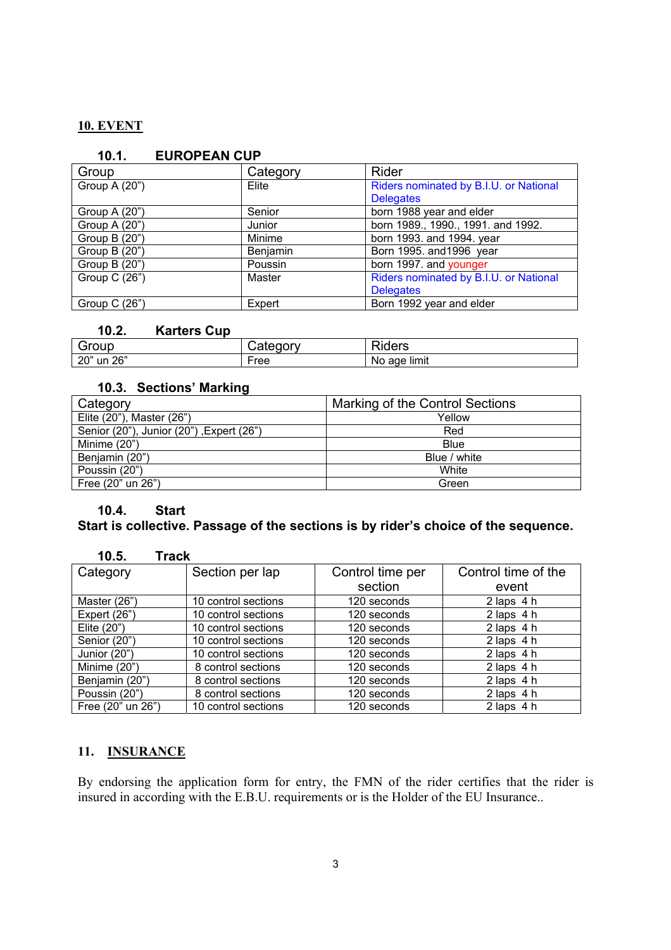# **10. EVENT**

| 10.1.           | EUROPEAN CUP |          |                                        |
|-----------------|--------------|----------|----------------------------------------|
| Group           |              | Category | <b>Rider</b>                           |
| Group A (20")   |              | Elite    | Riders nominated by B.I.U. or National |
|                 |              |          | <b>Delegates</b>                       |
| Group A $(20")$ |              | Senior   | born 1988 year and elder               |
| Group A (20")   |              | Junior   | born 1989., 1990., 1991. and 1992.     |
| Group B (20")   |              | Minime   | born 1993. and 1994. year              |
| Group B (20")   |              | Benjamin | Born 1995. and 1996 year               |
| Group B (20")   |              | Poussin  | born 1997. and younger                 |
| Group C (26")   |              | Master   | Riders nominated by B.I.U. or National |
|                 |              |          | <b>Delegates</b>                       |
| Group $C(26)$   |              | Expert   | Born 1992 year and elder               |

## **10.1. EUROPEAN CUP**

### **10.2. Karters Cup**

| Group         | $-22$<br>н<br>au. | –<br>≺iders         |
|---------------|-------------------|---------------------|
| un 26"<br>20" | ∙ree              | limit<br>age<br>NO. |

## **10.3. Sections' Marking**

| Category                                 | Marking of the Control Sections |  |
|------------------------------------------|---------------------------------|--|
| Elite (20"), Master (26")                | Yellow                          |  |
| Senior (20"), Junior (20"), Expert (26") | Red                             |  |
| Minime $(20")$                           | Blue                            |  |
| Benjamin (20")                           | Blue / white                    |  |
| Poussin (20")                            | White                           |  |
| Free (20" un 26")                        | Green                           |  |

### **10.4. Start**

# **Start is collective. Passage of the sections is by rider's choice of the sequence.**

| 10.5.<br><b>Track</b> |                     |                  |                     |
|-----------------------|---------------------|------------------|---------------------|
| Category              | Section per lap     | Control time per | Control time of the |
|                       |                     | section          | event               |
| Master (26")          | 10 control sections | 120 seconds      | $2$ laps $4 h$      |
| Expert (26")          | 10 control sections | 120 seconds      | $2$ laps $4 h$      |
| Elite $(20)$          | 10 control sections | 120 seconds      | $2$ laps $4 h$      |
| Senior (20")          | 10 control sections | 120 seconds      | $2$ laps $4 h$      |
| Junior (20")          | 10 control sections | 120 seconds      | $2$ laps $4 h$      |
| Minime (20")          | 8 control sections  | 120 seconds      | $2$ laps $4 h$      |
| Benjamin (20")        | 8 control sections  | 120 seconds      | $2$ laps $4 h$      |
| Poussin (20")         | 8 control sections  | 120 seconds      | $2$ laps $4 h$      |
| Free (20" un 26")     | 10 control sections | 120 seconds      | $2$ laps $4 h$      |

# **11. INSURANCE**

By endorsing the application form for entry, the FMN of the rider certifies that the rider is insured in according with the E.B.U. requirements or is the Holder of the EU Insurance..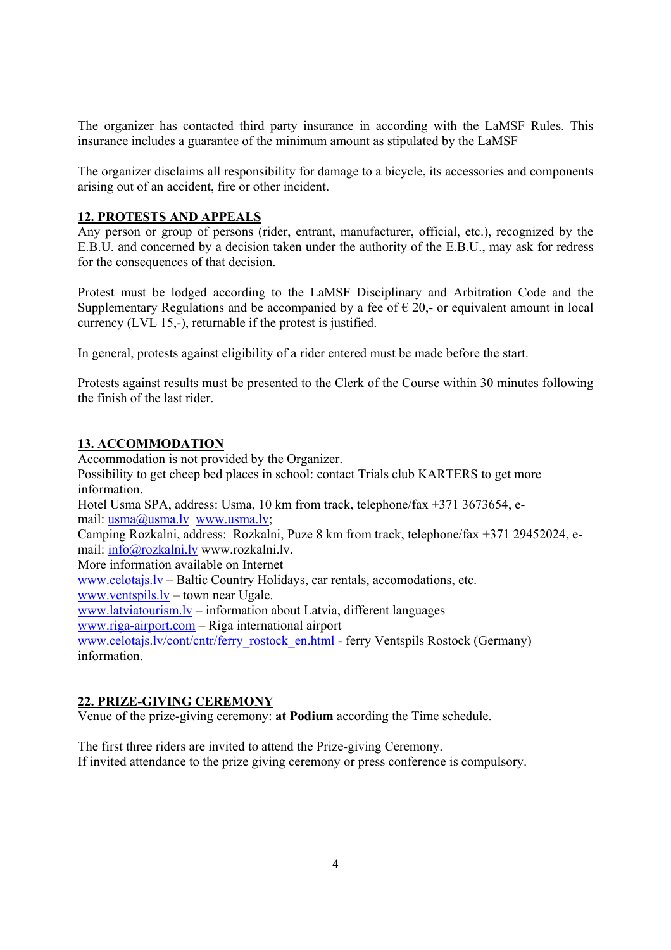The organizer has contacted third party insurance in according with the LaMSF Rules. This insurance includes a guarantee of the minimum amount as stipulated by the LaMSF

The organizer disclaims all responsibility for damage to a bicycle, its accessories and components arising out of an accident, fire or other incident.

### **12. PROTESTS AND APPEALS**

Any person or group of persons (rider, entrant, manufacturer, official, etc.), recognized by the E.B.U. and concerned by a decision taken under the authority of the E.B.U., may ask for redress for the consequences of that decision.

Protest must be lodged according to the LaMSF Disciplinary and Arbitration Code and the Supplementary Regulations and be accompanied by a fee of  $\epsilon$  20,- or equivalent amount in local currency (LVL 15,-), returnable if the protest is justified.

In general, protests against eligibility of a rider entered must be made before the start.

Protests against results must be presented to the Clerk of the Course within 30 minutes following the finish of the last rider.

#### **13. ACCOMMODATION**

Accommodation is not provided by the Organizer. Possibility to get cheep bed places in school: contact Trials club KARTERS to get more information. Hotel Usma SPA, address: Usma, 10 km from track, telephone/fax +371 3673654, email: usma@usma.lv www.usma.lv; Camping Rozkalni, address: Rozkalni, Puze 8 km from track, telephone/fax +371 29452024, email: info@rozkalni.lv www.rozkalni.lv. More information available on Internet www.celotajs.lv – Baltic Country Holidays, car rentals, accomodations, etc. www.ventspils.lv – town near Ugale. www.latviatourism.lv – information about Latvia, different languages www.riga-airport.com – Riga international airport www.celotajs.lv/cont/cntr/ferry\_rostock\_en.html - ferry Ventspils Rostock (Germany) information.

### **22. PRIZE-GIVING CEREMONY**

Venue of the prize-giving ceremony: **at Podium** according the Time schedule.

The first three riders are invited to attend the Prize-giving Ceremony. If invited attendance to the prize giving ceremony or press conference is compulsory.